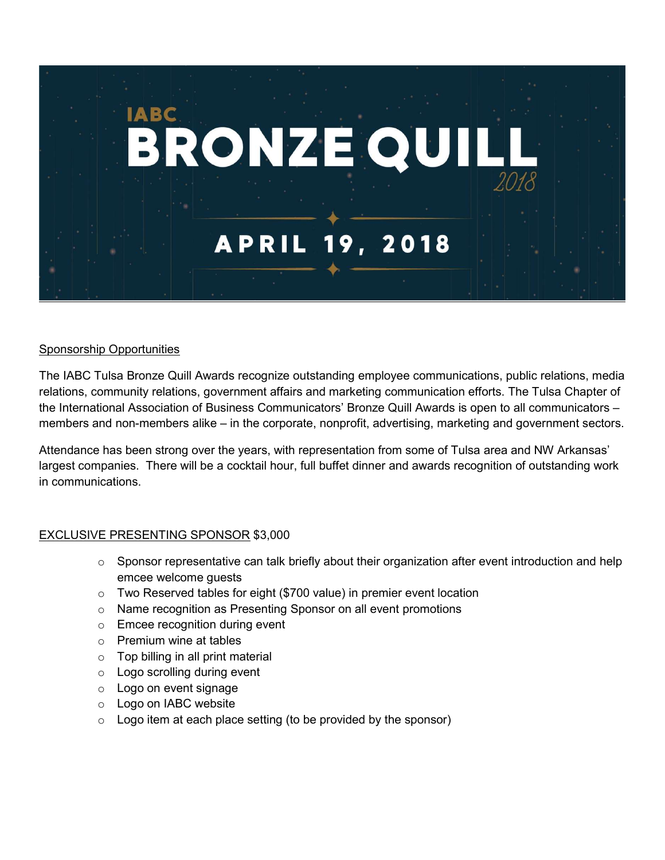

## Sponsorship Opportunities

The IABC Tulsa Bronze Quill Awards recognize outstanding employee communications, public relations, media relations, community relations, government affairs and marketing communication efforts. The Tulsa Chapter of the International Association of Business Communicators' Bronze Quill Awards is open to all communicators – members and non-members alike – in the corporate, nonprofit, advertising, marketing and government sectors.

Attendance has been strong over the years, with representation from some of Tulsa area and NW Arkansas' largest companies. There will be a cocktail hour, full buffet dinner and awards recognition of outstanding work in communications.

# EXCLUSIVE PRESENTING SPONSOR \$3,000

- $\circ$  Sponsor representative can talk briefly about their organization after event introduction and help emcee welcome guests
- o Two Reserved tables for eight (\$700 value) in premier event location
- o Name recognition as Presenting Sponsor on all event promotions
- o Emcee recognition during event
- o Premium wine at tables
- $\circ$  Top billing in all print material
- o Logo scrolling during event
- o Logo on event signage
- o Logo on IABC website
- $\circ$  Logo item at each place setting (to be provided by the sponsor)